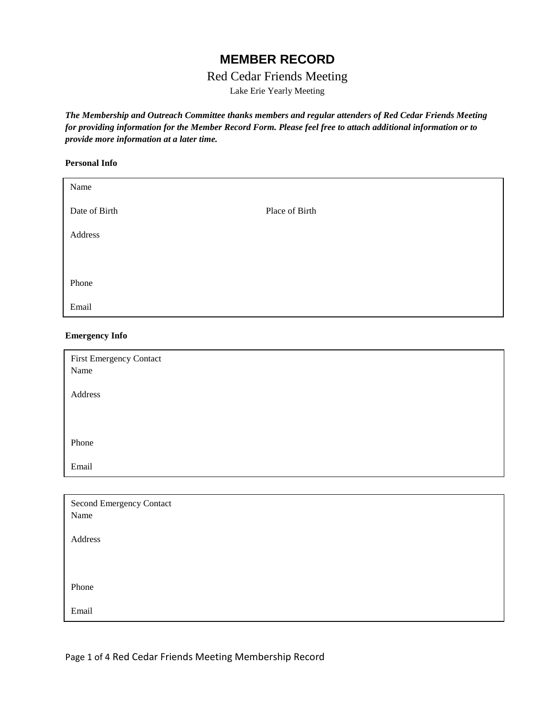# **MEMBER RECORD**

# Red Cedar Friends Meeting

Lake Erie Yearly Meeting

*The Membership and Outreach Committee thanks members and regular attenders of Red Cedar Friends Meeting for providing information for the Member Record Form. Please feel free to attach additional information or to provide more information at a later time.*

#### **Personal Info**

| Name          |                |
|---------------|----------------|
| Date of Birth | Place of Birth |
| Address       |                |
|               |                |
| Phone         |                |
| Email         |                |

#### **Emergency Info**

| First Emergency Contact  |
|--------------------------|
| Name                     |
|                          |
| Address                  |
|                          |
|                          |
| Phone                    |
|                          |
| Email                    |
|                          |
| Second Emergency Contact |
| $\mathbf{v}$             |

| Name    |  |  |
|---------|--|--|
| Address |  |  |
|         |  |  |
| Phone   |  |  |
| Email   |  |  |

Page 1 of 4 Red Cedar Friends Meeting Membership Record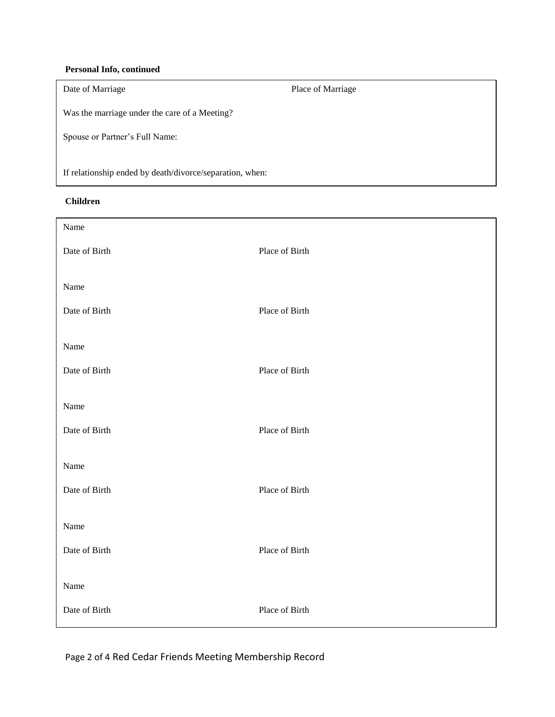### **Personal Info, continued**

| Date of Marriage                                         | Place of Marriage |  |
|----------------------------------------------------------|-------------------|--|
| Was the marriage under the care of a Meeting?            |                   |  |
| Spouse or Partner's Full Name:                           |                   |  |
| If relationship ended by death/divorce/separation, when: |                   |  |

### **Children**

| Name          |                |
|---------------|----------------|
| Date of Birth | Place of Birth |
| Name          |                |
| Date of Birth | Place of Birth |
| Name          |                |
| Date of Birth | Place of Birth |
| Name          |                |
| Date of Birth | Place of Birth |
| Name          |                |
| Date of Birth | Place of Birth |
| Name          |                |
| Date of Birth | Place of Birth |
| Name          |                |
| Date of Birth | Place of Birth |

Page 2 of 4 Red Cedar Friends Meeting Membership Record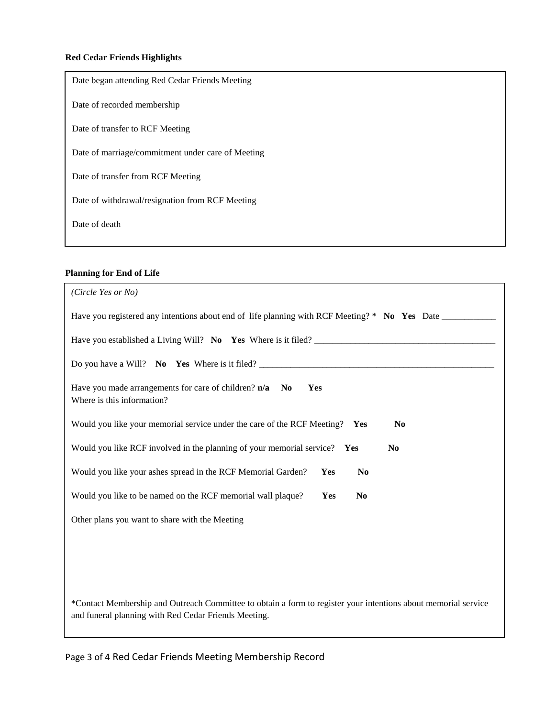## **Red Cedar Friends Highlights**

| Date began attending Red Cedar Friends Meeting    |
|---------------------------------------------------|
| Date of recorded membership                       |
| Date of transfer to RCF Meeting                   |
| Date of marriage/commitment under care of Meeting |
| Date of transfer from RCF Meeting                 |
| Date of withdrawal/resignation from RCF Meeting   |
| Date of death                                     |
|                                                   |

## **Planning for End of Life**

| (Circle Yes or No)                                                                                                                                                     |
|------------------------------------------------------------------------------------------------------------------------------------------------------------------------|
| Have you registered any intentions about end of life planning with RCF Meeting? * No Yes Date __________                                                               |
| Have you established a Living Will? No Yes Where is it filed?                                                                                                          |
| Do you have a Will? No Yes Where is it filed?                                                                                                                          |
| Have you made arrangements for care of children? $n/a$ No<br>Yes<br>Where is this information?                                                                         |
| Would you like your memorial service under the care of the RCF Meeting? Yes<br>N <sub>0</sub>                                                                          |
| Would you like RCF involved in the planning of your memorial service? Yes<br>N <sub>0</sub>                                                                            |
| Would you like your ashes spread in the RCF Memorial Garden?<br>Yes<br>N <sub>0</sub>                                                                                  |
| Would you like to be named on the RCF memorial wall plaque?<br>Yes<br>N <sub>0</sub>                                                                                   |
| Other plans you want to share with the Meeting                                                                                                                         |
|                                                                                                                                                                        |
|                                                                                                                                                                        |
| *Contact Membership and Outreach Committee to obtain a form to register your intentions about memorial service<br>and funeral planning with Red Cedar Friends Meeting. |

Page 3 of 4 Red Cedar Friends Meeting Membership Record